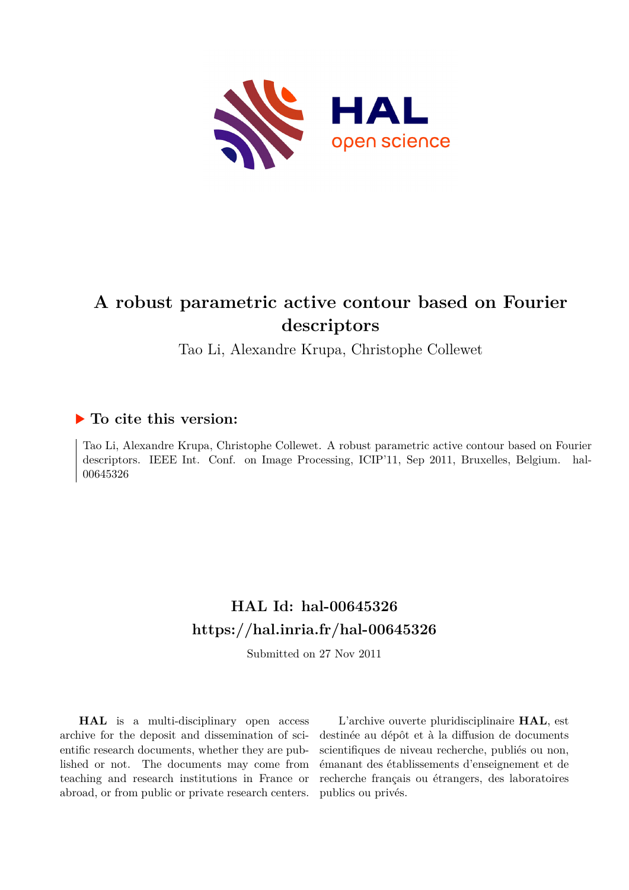

# **A robust parametric active contour based on Fourier descriptors**

Tao Li, Alexandre Krupa, Christophe Collewet

# **To cite this version:**

Tao Li, Alexandre Krupa, Christophe Collewet. A robust parametric active contour based on Fourier descriptors. IEEE Int. Conf. on Image Processing, ICIP'11, Sep 2011, Bruxelles, Belgium. hal-00645326

# **HAL Id: hal-00645326 <https://hal.inria.fr/hal-00645326>**

Submitted on 27 Nov 2011

**HAL** is a multi-disciplinary open access archive for the deposit and dissemination of scientific research documents, whether they are published or not. The documents may come from teaching and research institutions in France or abroad, or from public or private research centers.

L'archive ouverte pluridisciplinaire **HAL**, est destinée au dépôt et à la diffusion de documents scientifiques de niveau recherche, publiés ou non, émanant des établissements d'enseignement et de recherche français ou étrangers, des laboratoires publics ou privés.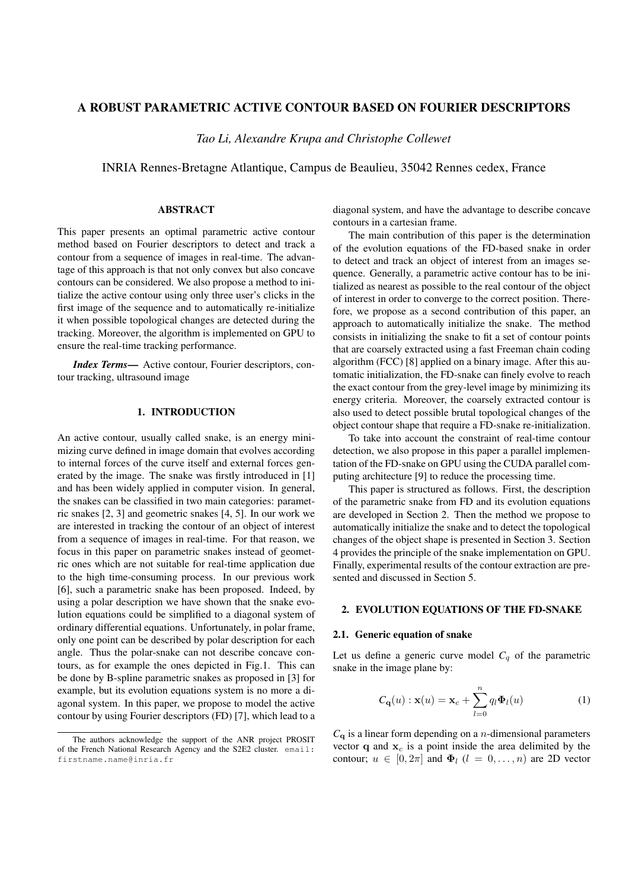# A ROBUST PARAMETRIC ACTIVE CONTOUR BASED ON FOURIER DESCRIPTORS

*Tao Li, Alexandre Krupa and Christophe Collewet*

INRIA Rennes-Bretagne Atlantique, Campus de Beaulieu, 35042 Rennes cedex, France

#### ABSTRACT

This paper presents an optimal parametric active contour method based on Fourier descriptors to detect and track a contour from a sequence of images in real-time. The advantage of this approach is that not only convex but also concave contours can be considered. We also propose a method to initialize the active contour using only three user's clicks in the first image of the sequence and to automatically re-initialize it when possible topological changes are detected during the tracking. Moreover, the algorithm is implemented on GPU to ensure the real-time tracking performance.

*Index Terms*— Active contour, Fourier descriptors, contour tracking, ultrasound image

### 1. INTRODUCTION

An active contour, usually called snake, is an energy minimizing curve defined in image domain that evolves according to internal forces of the curve itself and external forces generated by the image. The snake was firstly introduced in [1] and has been widely applied in computer vision. In general, the snakes can be classified in two main categories: parametric snakes [2, 3] and geometric snakes [4, 5]. In our work we are interested in tracking the contour of an object of interest from a sequence of images in real-time. For that reason, we focus in this paper on parametric snakes instead of geometric ones which are not suitable for real-time application due to the high time-consuming process. In our previous work [6], such a parametric snake has been proposed. Indeed, by using a polar description we have shown that the snake evolution equations could be simplified to a diagonal system of ordinary differential equations. Unfortunately, in polar frame, only one point can be described by polar description for each angle. Thus the polar-snake can not describe concave contours, as for example the ones depicted in Fig.1. This can be done by B-spline parametric snakes as proposed in [3] for example, but its evolution equations system is no more a diagonal system. In this paper, we propose to model the active contour by using Fourier descriptors (FD) [7], which lead to a

diagonal system, and have the advantage to describe concave contours in a cartesian frame.

The main contribution of this paper is the determination of the evolution equations of the FD-based snake in order to detect and track an object of interest from an images sequence. Generally, a parametric active contour has to be initialized as nearest as possible to the real contour of the object of interest in order to converge to the correct position. Therefore, we propose as a second contribution of this paper, an approach to automatically initialize the snake. The method consists in initializing the snake to fit a set of contour points that are coarsely extracted using a fast Freeman chain coding algorithm (FCC) [8] applied on a binary image. After this automatic initialization, the FD-snake can finely evolve to reach the exact contour from the grey-level image by minimizing its energy criteria. Moreover, the coarsely extracted contour is also used to detect possible brutal topological changes of the object contour shape that require a FD-snake re-initialization.

To take into account the constraint of real-time contour detection, we also propose in this paper a parallel implementation of the FD-snake on GPU using the CUDA parallel computing architecture [9] to reduce the processing time.

This paper is structured as follows. First, the description of the parametric snake from FD and its evolution equations are developed in Section 2. Then the method we propose to automatically initialize the snake and to detect the topological changes of the object shape is presented in Section 3. Section 4 provides the principle of the snake implementation on GPU. Finally, experimental results of the contour extraction are presented and discussed in Section 5.

#### 2. EVOLUTION EQUATIONS OF THE FD-SNAKE

#### 2.1. Generic equation of snake

Let us define a generic curve model  $C_q$  of the parametric snake in the image plane by:

$$
C_{\mathbf{q}}(u) : \mathbf{x}(u) = \mathbf{x}_c + \sum_{l=0}^{n} q_l \Phi_l(u)
$$
 (1)

 $C_{\mathbf{q}}$  is a linear form depending on a *n*-dimensional parameters vector **q** and  $\mathbf{x}_c$  is a point inside the area delimited by the contour;  $u \in [0, 2\pi]$  and  $\Phi_l$  ( $l = 0, \ldots, n$ ) are 2D vector

The authors acknowledge the support of the ANR project PROSIT of the French National Research Agency and the S2E2 cluster. email: firstname.name@inria.fr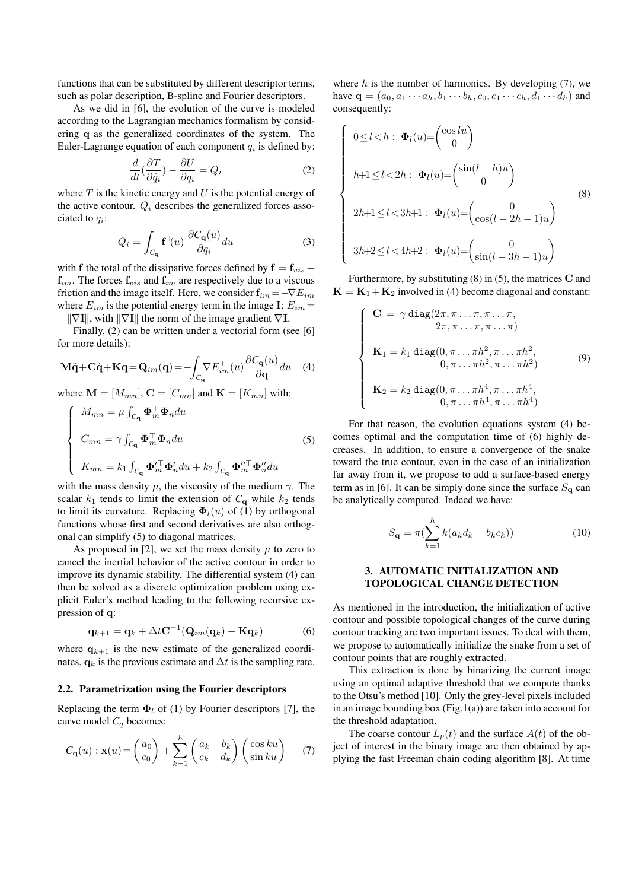functions that can be substituted by different descriptor terms, such as polar description, B-spline and Fourier descriptors.

As we did in [6], the evolution of the curve is modeled according to the Lagrangian mechanics formalism by considering **q** as the generalized coordinates of the system. The Euler-Lagrange equation of each component  $q_i$  is defined by:

$$
\frac{d}{dt}\left(\frac{\partial T}{\partial \dot{q}_i}\right) - \frac{\partial U}{\partial q_i} = Q_i \tag{2}
$$

where *T* is the kinetic energy and *U* is the potential energy of the active contour.  $Q_i$  describes the generalized forces associated to *q<sup>i</sup>* :

$$
Q_i = \int_{C_{\mathbf{q}}} \mathbf{f}^\top\!\!(u) \, \frac{\partial C_{\mathbf{q}}(u)}{\partial q_i} du \tag{3}
$$

with **f** the total of the dissipative forces defined by  $\mathbf{f} = \mathbf{f}_{vis} + \mathbf{f}_{vis}$  $f_{im}$ . The forces  $f_{vis}$  and  $f_{im}$  are respectively due to a viscous friction and the image itself. Here, we consider  $\mathbf{f}_{im} = -\nabla E_{im}$ where  $E_{im}$  is the potential energy term in the image **I**:  $E_{im}$  = *− ∥∇***I***∥*, with *∥∇***I***∥* the norm of the image gradient *∇***I**.

Finally, (2) can be written under a vectorial form (see [6] for more details):

$$
\mathbf{M\ddot{q}} + \mathbf{C\dot{q}} + \mathbf{Kq} = \mathbf{Q}_{im}(\mathbf{q}) = -\int_{C_{\mathbf{q}}} \nabla E_{im}^{\top}(u) \frac{\partial C_{\mathbf{q}}(u)}{\partial \mathbf{q}} du \quad (4)
$$

where  $\mathbf{M} = [M_{mn}], \mathbf{C} = [C_{mn}]$  and  $\mathbf{K} = [K_{mn}]$  with:

$$
\begin{cases}\nM_{mn} = \mu \int_{C_{\mathbf{q}}} \boldsymbol{\Phi}_m^{\top} \boldsymbol{\Phi}_n du \\
C_{mn} = \gamma \int_{C_{\mathbf{q}}} \boldsymbol{\Phi}_m^{\top} \boldsymbol{\Phi}_n du \\
K_{mn} = k_1 \int_{C_{\mathbf{q}}} \boldsymbol{\Phi}_m^{\prime \top} \boldsymbol{\Phi}_n^{\prime} du + k_2 \int_{C_{\mathbf{q}}} \boldsymbol{\Phi}_m^{\prime \top} \boldsymbol{\Phi}_n^{\prime \prime} du\n\end{cases}
$$
\n(5)

with the mass density  $\mu$ , the viscosity of the medium  $\gamma$ . The scalar  $k_1$  tends to limit the extension of  $C_q$  while  $k_2$  tends to limit its curvature. Replacing  $\Phi_l(u)$  of (1) by orthogonal functions whose first and second derivatives are also orthogonal can simplify (5) to diagonal matrices.

As proposed in [2], we set the mass density  $\mu$  to zero to cancel the inertial behavior of the active contour in order to improve its dynamic stability. The differential system (4) can then be solved as a discrete optimization problem using explicit Euler's method leading to the following recursive expression of **q**:

$$
\mathbf{q}_{k+1} = \mathbf{q}_k + \Delta t \mathbf{C}^{-1} (\mathbf{Q}_{im}(\mathbf{q}_k) - \mathbf{K} \mathbf{q}_k)
$$
 (6)

where  $q_{k+1}$  is the new estimate of the generalized coordinates,  $\mathbf{q}_k$  is the previous estimate and  $\Delta t$  is the sampling rate.

### 2.2. Parametrization using the Fourier descriptors

Replacing the term  $\Phi_l$  of (1) by Fourier descriptors [7], the curve model  $C_q$  becomes:

$$
C_{\mathbf{q}}(u) : \mathbf{x}(u) = \begin{pmatrix} a_0 \\ c_0 \end{pmatrix} + \sum_{k=1}^{h} \begin{pmatrix} a_k & b_k \\ c_k & d_k \end{pmatrix} \begin{pmatrix} \cos ku \\ \sin ku \end{pmatrix} \tag{7}
$$

where  $h$  is the number of harmonics. By developing  $(7)$ , we have  $\mathbf{q} = (a_0, a_1 \cdots a_h, b_1 \cdots b_h, c_0, c_1 \cdots c_h, d_1 \cdots d_h)$  and consequently:

$$
\begin{cases}\n0 \le l < h: \Phi_l(u) = \begin{pmatrix} \cos lu \\ 0 \end{pmatrix} \\
h+1 \le l < 2h: \Phi_l(u) = \begin{pmatrix} \sin(l-h)u \\ 0 \end{pmatrix} \\
2h+1 \le l < 3h+1: \Phi_l(u) = \begin{pmatrix} 0 \\ \cos(l-2h-1)u \end{pmatrix} \\
3h+2 \le l < 4h+2: \Phi_l(u) = \begin{pmatrix} 0 \\ \sin(l-3h-1)u \end{pmatrix}\n\end{cases}
$$
\n(8)

Furthermore, by substituting (8) in (5), the matrices **C** and  $K = K_1 + K_2$  involved in (4) become diagonal and constant:

$$
\begin{cases}\n\mathbf{C} = \gamma \operatorname{diag}(2\pi, \pi \dots \pi, \pi \dots \pi, \\
2\pi, \pi \dots \pi, \pi \dots \pi)\n\mathbf{K}_1 = k_1 \operatorname{diag}(0, \pi \dots \pi h^2, \pi \dots \pi h^2, \\
0, \pi \dots \pi h^2, \pi \dots \pi h^2)\n\mathbf{K}_2 = k_2 \operatorname{diag}(0, \pi \dots \pi h^4, \pi \dots \pi h^4, \\
0, \pi \dots \pi h^4, \pi \dots \pi h^4)\n\end{cases} (9)
$$

For that reason, the evolution equations system (4) becomes optimal and the computation time of (6) highly decreases. In addition, to ensure a convergence of the snake toward the true contour, even in the case of an initialization far away from it, we propose to add a surface-based energy term as in [6]. It can be simply done since the surface  $S_{\mathbf{q}}$  can be analytically computed. Indeed we have:

$$
S_{\mathbf{q}} = \pi \left( \sum_{k=1}^{h} k(a_k d_k - b_k c_k) \right) \tag{10}
$$

# 3. AUTOMATIC INITIALIZATION AND TOPOLOGICAL CHANGE DETECTION

As mentioned in the introduction, the initialization of active contour and possible topological changes of the curve during contour tracking are two important issues. To deal with them, we propose to automatically initialize the snake from a set of contour points that are roughly extracted.

This extraction is done by binarizing the current image using an optimal adaptive threshold that we compute thanks to the Otsu's method [10]. Only the grey-level pixels included in an image bounding box  $(Fig.1(a))$  are taken into account for the threshold adaptation.

The coarse contour  $L_p(t)$  and the surface  $A(t)$  of the object of interest in the binary image are then obtained by applying the fast Freeman chain coding algorithm [8]. At time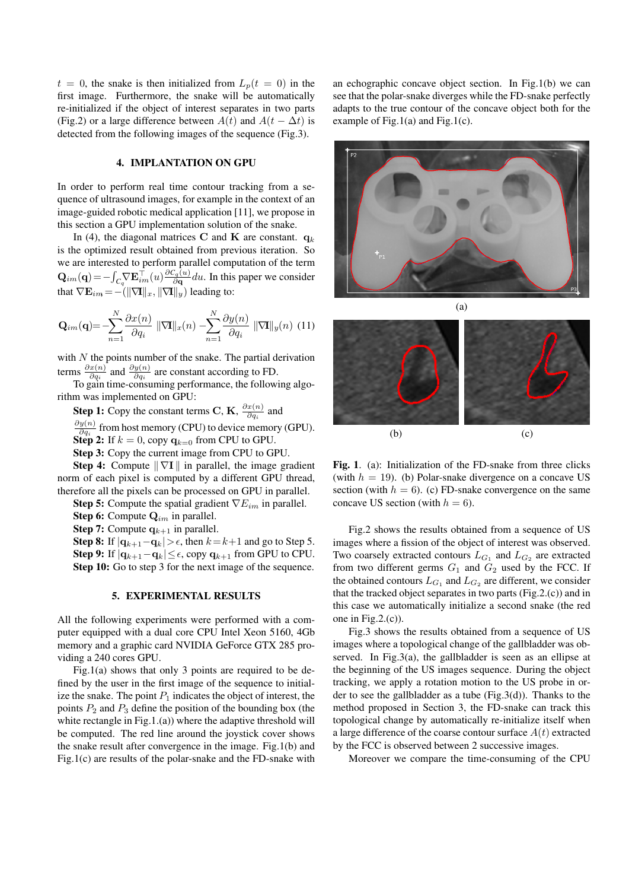$t = 0$ , the snake is then initialized from  $L_p(t = 0)$  in the first image. Furthermore, the snake will be automatically re-initialized if the object of interest separates in two parts (Fig.2) or a large difference between  $A(t)$  and  $A(t - \Delta t)$  is detected from the following images of the sequence (Fig.3).

#### 4. IMPLANTATION ON GPU

In order to perform real time contour tracking from a sequence of ultrasound images, for example in the context of an image-guided robotic medical application [11], we propose in this section a GPU implementation solution of the snake.

In (4), the diagonal matrices C and K are constant.  $q_k$ is the optimized result obtained from previous iteration. So we are interested to perform parallel computation of the term  $\mathbf{Q}_{im}(\mathbf{q}) = -\int_{C_q} \nabla \mathbf{E}^{\top}_{im}(u) \frac{\partial C_q(u)}{\partial \mathbf{q}} du$ . In this paper we consider that  $\nabla \mathbf{E}_{im} = -(\|\nabla \mathbf{I}\|_x, \|\nabla \mathbf{I}\|_y)$  leading to:

$$
\mathbf{Q}_{im}(\mathbf{q}) = -\sum_{n=1}^{N} \frac{\partial x(n)}{\partial q_i} \|\nabla \mathbf{I}\|_{x}(n) - \sum_{n=1}^{N} \frac{\partial y(n)}{\partial q_i} \|\nabla \mathbf{I}\|_{y}(n) \tag{11}
$$

with *N* the points number of the snake. The partial derivation terms  $\frac{\partial x(n)}{\partial q_i}$  and  $\frac{\partial y(n)}{\partial q_i}$  are constant according to FD.

To gain time-consuming performance, the following algorithm was implemented on GPU:

**Step 1:** Copy the constant terms **C**, **K**,  $\frac{\partial x(n)}{\partial a}$  $\frac{x(n)}{\partial q_i}$  and

*∂y*(*n*)  $\frac{y(n)}{\partial q_i}$  from host memory (CPU) to device memory (GPU).

**Step 2:** If  $k = 0$ , copy  $q_{k=0}$  from CPU to GPU.

Step 3: Copy the current image from CPU to GPU.

Step 4: Compute *∥ ∇***I** *∥* in parallel, the image gradient norm of each pixel is computed by a different GPU thread, therefore all the pixels can be processed on GPU in parallel.

Step 5: Compute the spatial gradient *∇Eim* in parallel.

Step 6: Compute **Q***im* in parallel.

**Step 7:** Compute  $q_{k+1}$  in parallel.

Step 8: If  $|\mathbf{q}_{k+1} - \mathbf{q}_k| > \epsilon$ , then  $k = k+1$  and go to Step 5. Step 9: If  $|{\bf q}_{k+1} - {\bf q}_k|$  ≤  $\epsilon$ , copy  ${\bf q}_{k+1}$  from GPU to CPU. Step 10: Go to step 3 for the next image of the sequence.

### 5. EXPERIMENTAL RESULTS

All the following experiments were performed with a computer equipped with a dual core CPU Intel Xeon 5160, 4Gb memory and a graphic card NVIDIA GeForce GTX 285 providing a 240 cores GPU.

Fig.1(a) shows that only 3 points are required to be defined by the user in the first image of the sequence to initialize the snake. The point  $P_1$  indicates the object of interest, the points  $P_2$  and  $P_3$  define the position of the bounding box (the white rectangle in Fig.1.(a)) where the adaptive threshold will be computed. The red line around the joystick cover shows the snake result after convergence in the image. Fig.1(b) and Fig.1(c) are results of the polar-snake and the FD-snake with

an echographic concave object section. In Fig.1(b) we can see that the polar-snake diverges while the FD-snake perfectly adapts to the true contour of the concave object both for the example of Fig.1(a) and Fig.1(c).





Fig. 1. (a): Initialization of the FD-snake from three clicks (with  $h = 19$ ). (b) Polar-snake divergence on a concave US section (with  $h = 6$ ). (c) FD-snake convergence on the same concave US section (with  $h = 6$ ).

Fig.2 shows the results obtained from a sequence of US images where a fission of the object of interest was observed. Two coarsely extracted contours  $L_{G_1}$  and  $L_{G_2}$  are extracted from two different germs  $G_1$  and  $G_2$  used by the FCC. If the obtained contours  $L_{G_1}$  and  $L_{G_2}$  are different, we consider that the tracked object separates in two parts (Fig.2.(c)) and in this case we automatically initialize a second snake (the red one in Fig.2.(c)).

Fig.3 shows the results obtained from a sequence of US images where a topological change of the gallbladder was observed. In Fig.3(a), the gallbladder is seen as an ellipse at the beginning of the US images sequence. During the object tracking, we apply a rotation motion to the US probe in order to see the gallbladder as a tube  $(Fig.3(d))$ . Thanks to the method proposed in Section 3, the FD-snake can track this topological change by automatically re-initialize itself when a large difference of the coarse contour surface *A*(*t*) extracted by the FCC is observed between 2 successive images.

Moreover we compare the time-consuming of the CPU